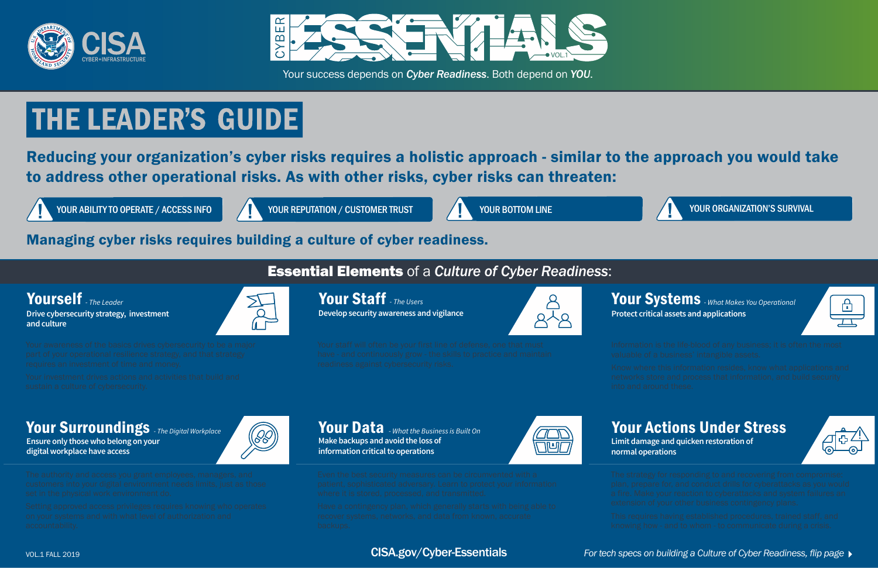#### VOL.1 FALL 2019 *For tech specs on building a Culture of Cyber Readiness, flip page*

# Essential Elements of a *Culture of Cyber Readiness*:

## Your Staff - The Users **The Contract of the Contract of August** 2011 **Your Systems** - What Makes You Operational **Protect critical assets and applications**



**Develop security awareness and vigilance**  Your Staff - The Users



 $\mathbb{R}$ 

**Ensure only those who belong on your digital workplace have access**



Your Data - What the Business is Built On **Make backups and avoid the loss of information critical to operations Your Surroundings** - The Digital Workplace **All Structure Data** - What the Business is Built On





# Your Actions Under Stress

**Limit damage and quicken restoration of**



# **normal operations**

## Managing cyber risks requires building a culture of cyber readiness.

Reducing your organization's cyber risks requires a holistic approach - similar to the approach you would take to address other operational risks. As with other risks, cyber risks can threaten:

YOUR ABILITY TO OPERATE / ACCESS INFO YOUR REPUTATION / CUSTOMER TRUST YOUR BOTTOM LINE YOUR BOTTOM LINE YOUR ORGANIZATION'S SURVIVAL



Your success depends on *Cyber Readiness*. Both depend on *YOU*.

# **THE LEADER'S GUIDE**





## CISA.gov/Cyber-Essentials